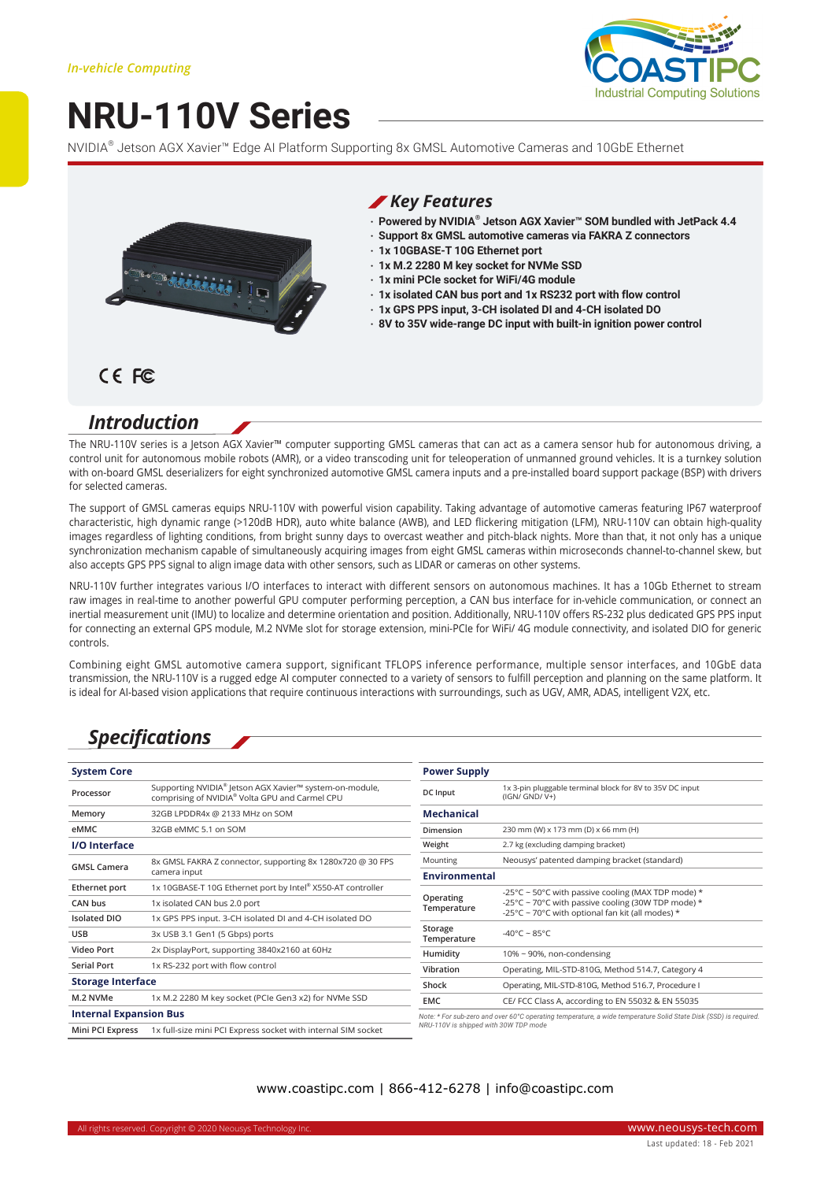# **NRU-110V Series**



NVIDIA® Jetson AGX Xavier™ Edge AI Platform Supporting 8x GMSL Automotive Cameras and 10GbE Ethernet



#### *Key Features*

- **‧ Powered by NVIDIA® Jetson AGX Xavier™ SOM bundled with JetPack 4.4**
- **‧ Support 8x GMSL automotive cameras via FAKRA Z connectors**
- **‧ 1x 10GBASE-T 10G Ethernet port**
- **‧ 1x M.2 2280 M key socket for NVMe SSD**
- **‧ 1x mini PCIe socket for WiFi/4G module**
- **‧ 1x isolated CAN bus port and 1x RS232 port with flow control**
- **‧ 1x GPS PPS input, 3-CH isolated DI and 4-CH isolated DO**
- **‧ 8V to 35V wide-range DC input with built-in ignition power control**

### CE FC

### *Introduction*

The NRU-110V series is a Jetson AGX Xavier™ computer supporting GMSL cameras that can act as a camera sensor hub for autonomous driving, a control unit for autonomous mobile robots (AMR), or a video transcoding unit for teleoperation of unmanned ground vehicles. It is a turnkey solution with on-board GMSL deserializers for eight synchronized automotive GMSL camera inputs and a pre-installed board support package (BSP) with drivers for selected cameras.

The support of GMSL cameras equips NRU-110V with powerful vision capability. Taking advantage of automotive cameras featuring IP67 waterproof characteristic, high dynamic range (>120dB HDR), auto white balance (AWB), and LED flickering mitigation (LFM), NRU-110V can obtain high-quality images regardless of lighting conditions, from bright sunny days to overcast weather and pitch-black nights. More than that, it not only has a unique synchronization mechanism capable of simultaneously acquiring images from eight GMSL cameras within microseconds channel-to-channel skew, but also accepts GPS PPS signal to align image data with other sensors, such as LIDAR or cameras on other systems.

NRU-110V further integrates various I/O interfaces to interact with different sensors on autonomous machines. It has a 10Gb Ethernet to stream raw images in real-time to another powerful GPU computer performing perception, a CAN bus interface for in-vehicle communication, or connect an inertial measurement unit (IMU) to localize and determine orientation and position. Additionally, NRU-110V offers RS-232 plus dedicated GPS PPS input for connecting an external GPS module, M.2 NVMe slot for storage extension, mini-PCIe for WiFi/ 4G module connectivity, and isolated DIO for generic controls.

Combining eight GMSL automotive camera support, significant TFLOPS inference performance, multiple sensor interfaces, and 10GbE data transmission, the NRU-110V is a rugged edge AI computer connected to a variety of sensors to fulfill perception and planning on the same platform. It is ideal for AI-based vision applications that require continuous interactions with surroundings, such as UGV, AMR, ADAS, intelligent V2X, etc.

### *Specifications*

| <b>System Core</b>            |                                                                                                                       | <b>Power Supply</b>                                                                                                                    |                                                                            |
|-------------------------------|-----------------------------------------------------------------------------------------------------------------------|----------------------------------------------------------------------------------------------------------------------------------------|----------------------------------------------------------------------------|
| Processor                     | Supporting NVIDIA <sup>®</sup> Jetson AGX Xavier™ system-on-module,<br>comprising of NVIDIA® Volta GPU and Carmel CPU | DC Input                                                                                                                               | 1x 3-pin pluggable terminal block for 8V to 35V DC input<br>$(IGN/GND/V+)$ |
| Memory                        | 32GB LPDDR4x @ 2133 MHz on SOM                                                                                        | <b>Mechanical</b>                                                                                                                      |                                                                            |
| eMMC                          | 32GB eMMC 5.1 on SOM                                                                                                  | Dimension                                                                                                                              | 230 mm (W) x 173 mm (D) x 66 mm (H)                                        |
| <b>I/O</b> Interface          |                                                                                                                       | Weight                                                                                                                                 | 2.7 kg (excluding damping bracket)                                         |
| <b>GMSL Camera</b>            | 8x GMSL FAKRA Z connector, supporting 8x 1280x720 @ 30 FPS<br>camera input                                            | Mounting                                                                                                                               | Neousys' patented damping bracket (standard)                               |
|                               |                                                                                                                       | <b>Environmental</b>                                                                                                                   |                                                                            |
| Ethernet port                 | 1x 10GBASE-T 10G Ethernet port by Intel® X550-AT controller                                                           | -25°C ~ 50°C with passive cooling (MAX TDP mode) $*$<br>Operating<br>-25°C ~ 70°C with passive cooling (30W TDP mode) *<br>Temperature |                                                                            |
| CAN bus                       | 1x isolated CAN bus 2.0 port                                                                                          |                                                                                                                                        |                                                                            |
| <b>Isolated DIO</b>           | 1x GPS PPS input. 3-CH isolated DI and 4-CH isolated DO                                                               |                                                                                                                                        | -25°C ~ 70°C with optional fan kit (all modes) $*$                         |
| <b>USB</b>                    | 3x USB 3.1 Gen1 (5 Gbps) ports                                                                                        | Storage<br>Temperature                                                                                                                 | $-40^{\circ}$ C ~ 85°C                                                     |
| Video Port                    | 2x DisplayPort, supporting 3840x2160 at 60Hz                                                                          | Humidity                                                                                                                               | $10\%$ ~ 90%, non-condensing                                               |
| <b>Serial Port</b>            | 1x RS-232 port with flow control                                                                                      | Vibration                                                                                                                              | Operating, MIL-STD-810G, Method 514.7, Category 4                          |
| <b>Storage Interface</b>      |                                                                                                                       | Shock                                                                                                                                  | Operating, MIL-STD-810G, Method 516.7, Procedure I                         |
| M.2 NVMe                      | 1x M.2 2280 M key socket (PCIe Gen3 x2) for NVMe SSD                                                                  | EMC                                                                                                                                    | CE/ FCC Class A, according to EN 55032 & EN 55035                          |
| <b>Internal Expansion Bus</b> |                                                                                                                       | Note: * For sub-zero and over 60°C operating temperature, a wide temperature Solid State Disk (SSD) is required.                       |                                                                            |
| Mini PCI Express              | 1x full-size mini PCI Express socket with internal SIM socket                                                         | NRU-110V is shipped with 30W TDP mode                                                                                                  |                                                                            |

#### www.coastipc.com | 866-412-6278 | info@coastipc.com